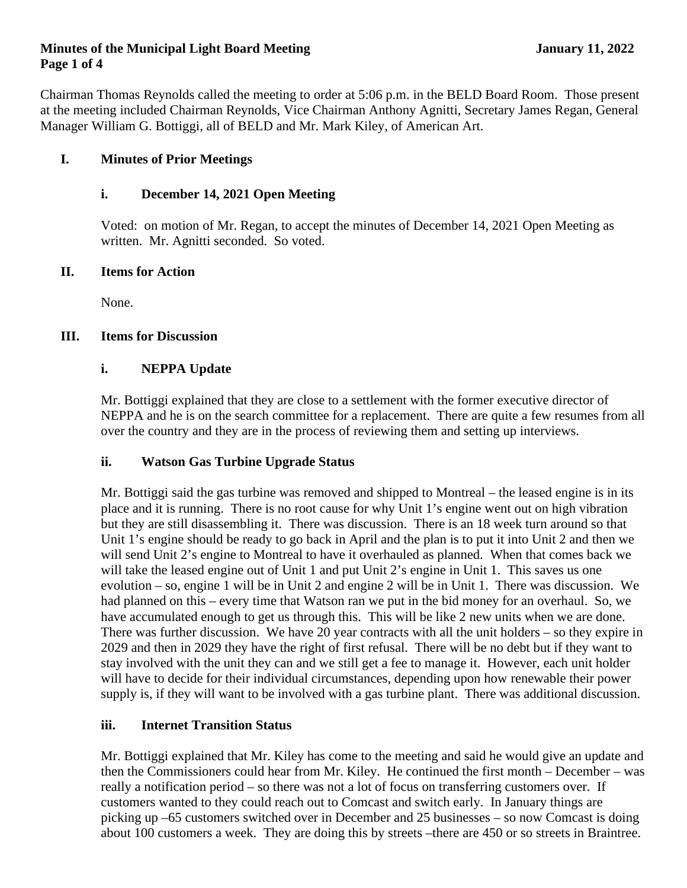#### **Minutes of the Municipal Light Board Meeting January 11, 2022 Page 1 of 4**

Chairman Thomas Reynolds called the meeting to order at 5:06 p.m. in the BELD Board Room. Those present at the meeting included Chairman Reynolds, Vice Chairman Anthony Agnitti, Secretary James Regan, General Manager William G. Bottiggi, all of BELD and Mr. Mark Kiley, of American Art.

# **I. Minutes of Prior Meetings**

# **i. December 14, 2021 Open Meeting**

Voted: on motion of Mr. Regan, to accept the minutes of December 14, 2021 Open Meeting as written. Mr. Agnitti seconded. So voted.

## **II. Items for Action**

None.

#### **III. Items for Discussion**

#### **i. NEPPA Update**

Mr. Bottiggi explained that they are close to a settlement with the former executive director of NEPPA and he is on the search committee for a replacement. There are quite a few resumes from all over the country and they are in the process of reviewing them and setting up interviews.

## **ii. Watson Gas Turbine Upgrade Status**

Mr. Bottiggi said the gas turbine was removed and shipped to Montreal – the leased engine is in its place and it is running. There is no root cause for why Unit 1's engine went out on high vibration but they are still disassembling it. There was discussion. There is an 18 week turn around so that Unit 1's engine should be ready to go back in April and the plan is to put it into Unit 2 and then we will send Unit 2's engine to Montreal to have it overhauled as planned. When that comes back we will take the leased engine out of Unit 1 and put Unit 2's engine in Unit 1. This saves us one evolution – so, engine 1 will be in Unit 2 and engine 2 will be in Unit 1. There was discussion. We had planned on this – every time that Watson ran we put in the bid money for an overhaul. So, we have accumulated enough to get us through this. This will be like 2 new units when we are done. There was further discussion. We have 20 year contracts with all the unit holders – so they expire in 2029 and then in 2029 they have the right of first refusal. There will be no debt but if they want to stay involved with the unit they can and we still get a fee to manage it. However, each unit holder will have to decide for their individual circumstances, depending upon how renewable their power supply is, if they will want to be involved with a gas turbine plant. There was additional discussion.

## **iii. Internet Transition Status**

Mr. Bottiggi explained that Mr. Kiley has come to the meeting and said he would give an update and then the Commissioners could hear from Mr. Kiley. He continued the first month – December – was really a notification period – so there was not a lot of focus on transferring customers over. If customers wanted to they could reach out to Comcast and switch early. In January things are picking up –65 customers switched over in December and 25 businesses – so now Comcast is doing about 100 customers a week. They are doing this by streets –there are 450 or so streets in Braintree.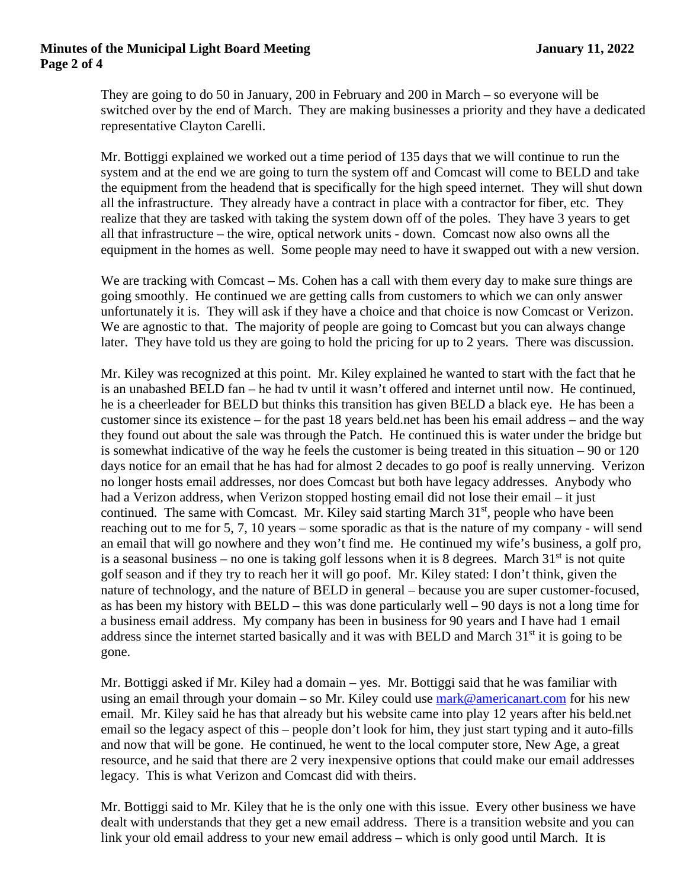#### **Minutes of the Municipal Light Board Meeting January 11, 2022 Page 2 of 4**

They are going to do 50 in January, 200 in February and 200 in March – so everyone will be switched over by the end of March. They are making businesses a priority and they have a dedicated representative Clayton Carelli.

Mr. Bottiggi explained we worked out a time period of 135 days that we will continue to run the system and at the end we are going to turn the system off and Comcast will come to BELD and take the equipment from the headend that is specifically for the high speed internet. They will shut down all the infrastructure. They already have a contract in place with a contractor for fiber, etc. They realize that they are tasked with taking the system down off of the poles. They have 3 years to get all that infrastructure – the wire, optical network units - down. Comcast now also owns all the equipment in the homes as well. Some people may need to have it swapped out with a new version.

We are tracking with Comcast – Ms. Cohen has a call with them every day to make sure things are going smoothly. He continued we are getting calls from customers to which we can only answer unfortunately it is. They will ask if they have a choice and that choice is now Comcast or Verizon. We are agnostic to that. The majority of people are going to Comcast but you can always change later. They have told us they are going to hold the pricing for up to 2 years. There was discussion.

Mr. Kiley was recognized at this point. Mr. Kiley explained he wanted to start with the fact that he is an unabashed BELD fan – he had tv until it wasn't offered and internet until now. He continued, he is a cheerleader for BELD but thinks this transition has given BELD a black eye. He has been a customer since its existence – for the past 18 years beld.net has been his email address – and the way they found out about the sale was through the Patch. He continued this is water under the bridge but is somewhat indicative of the way he feels the customer is being treated in this situation – 90 or 120 days notice for an email that he has had for almost 2 decades to go poof is really unnerving. Verizon no longer hosts email addresses, nor does Comcast but both have legacy addresses. Anybody who had a Verizon address, when Verizon stopped hosting email did not lose their email – it just continued. The same with Comcast. Mr. Kiley said starting March  $31<sup>st</sup>$ , people who have been reaching out to me for 5, 7, 10 years – some sporadic as that is the nature of my company - will send an email that will go nowhere and they won't find me. He continued my wife's business, a golf pro, is a seasonal business – no one is taking golf lessons when it is 8 degrees. March  $31<sup>st</sup>$  is not quite golf season and if they try to reach her it will go poof. Mr. Kiley stated: I don't think, given the nature of technology, and the nature of BELD in general – because you are super customer-focused, as has been my history with BELD – this was done particularly well – 90 days is not a long time for a business email address. My company has been in business for 90 years and I have had 1 email address since the internet started basically and it was with BELD and March 31<sup>st</sup> it is going to be gone.

Mr. Bottiggi asked if Mr. Kiley had a domain – yes. Mr. Bottiggi said that he was familiar with using an email through your domain – so Mr. Kiley could use  $mark@americanart.com$  for his new email. Mr. Kiley said he has that already but his website came into play 12 years after his beld.net email so the legacy aspect of this – people don't look for him, they just start typing and it auto-fills and now that will be gone. He continued, he went to the local computer store, New Age, a great resource, and he said that there are 2 very inexpensive options that could make our email addresses legacy. This is what Verizon and Comcast did with theirs.

Mr. Bottiggi said to Mr. Kiley that he is the only one with this issue. Every other business we have dealt with understands that they get a new email address. There is a transition website and you can link your old email address to your new email address – which is only good until March. It is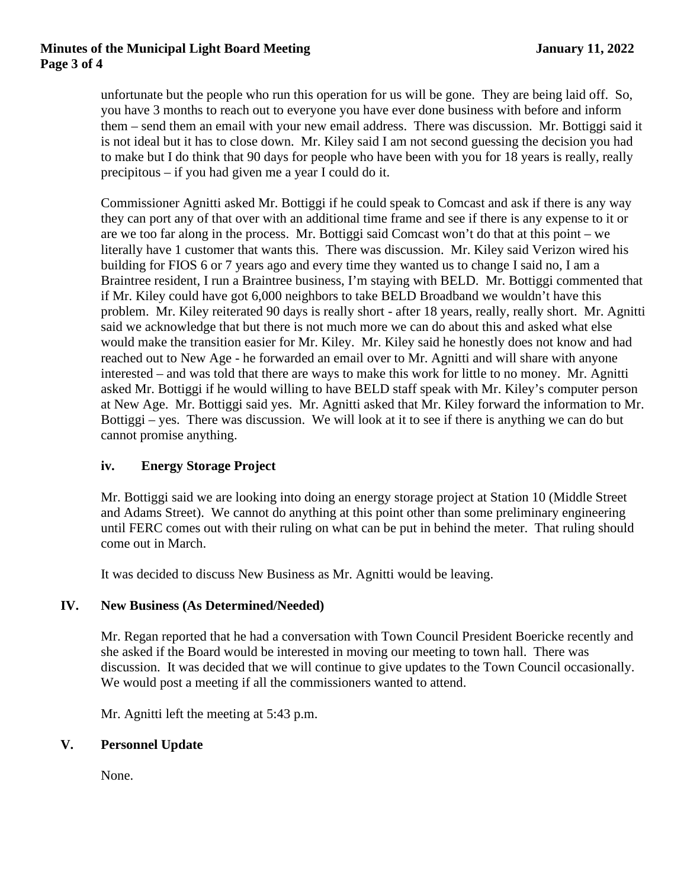#### **Minutes of the Municipal Light Board Meeting January 11, 2022 Page 3 of 4**

unfortunate but the people who run this operation for us will be gone. They are being laid off. So, you have 3 months to reach out to everyone you have ever done business with before and inform them – send them an email with your new email address. There was discussion. Mr. Bottiggi said it is not ideal but it has to close down. Mr. Kiley said I am not second guessing the decision you had to make but I do think that 90 days for people who have been with you for 18 years is really, really precipitous – if you had given me a year I could do it.

Commissioner Agnitti asked Mr. Bottiggi if he could speak to Comcast and ask if there is any way they can port any of that over with an additional time frame and see if there is any expense to it or are we too far along in the process. Mr. Bottiggi said Comcast won't do that at this point – we literally have 1 customer that wants this. There was discussion. Mr. Kiley said Verizon wired his building for FIOS 6 or 7 years ago and every time they wanted us to change I said no, I am a Braintree resident, I run a Braintree business, I'm staying with BELD. Mr. Bottiggi commented that if Mr. Kiley could have got 6,000 neighbors to take BELD Broadband we wouldn't have this problem. Mr. Kiley reiterated 90 days is really short - after 18 years, really, really short. Mr. Agnitti said we acknowledge that but there is not much more we can do about this and asked what else would make the transition easier for Mr. Kiley. Mr. Kiley said he honestly does not know and had reached out to New Age - he forwarded an email over to Mr. Agnitti and will share with anyone interested – and was told that there are ways to make this work for little to no money. Mr. Agnitti asked Mr. Bottiggi if he would willing to have BELD staff speak with Mr. Kiley's computer person at New Age. Mr. Bottiggi said yes. Mr. Agnitti asked that Mr. Kiley forward the information to Mr. Bottiggi – yes. There was discussion. We will look at it to see if there is anything we can do but cannot promise anything.

## **iv. Energy Storage Project**

Mr. Bottiggi said we are looking into doing an energy storage project at Station 10 (Middle Street and Adams Street). We cannot do anything at this point other than some preliminary engineering until FERC comes out with their ruling on what can be put in behind the meter. That ruling should come out in March.

It was decided to discuss New Business as Mr. Agnitti would be leaving.

## **IV. New Business (As Determined/Needed)**

Mr. Regan reported that he had a conversation with Town Council President Boericke recently and she asked if the Board would be interested in moving our meeting to town hall. There was discussion. It was decided that we will continue to give updates to the Town Council occasionally. We would post a meeting if all the commissioners wanted to attend.

Mr. Agnitti left the meeting at 5:43 p.m.

## **V. Personnel Update**

None.